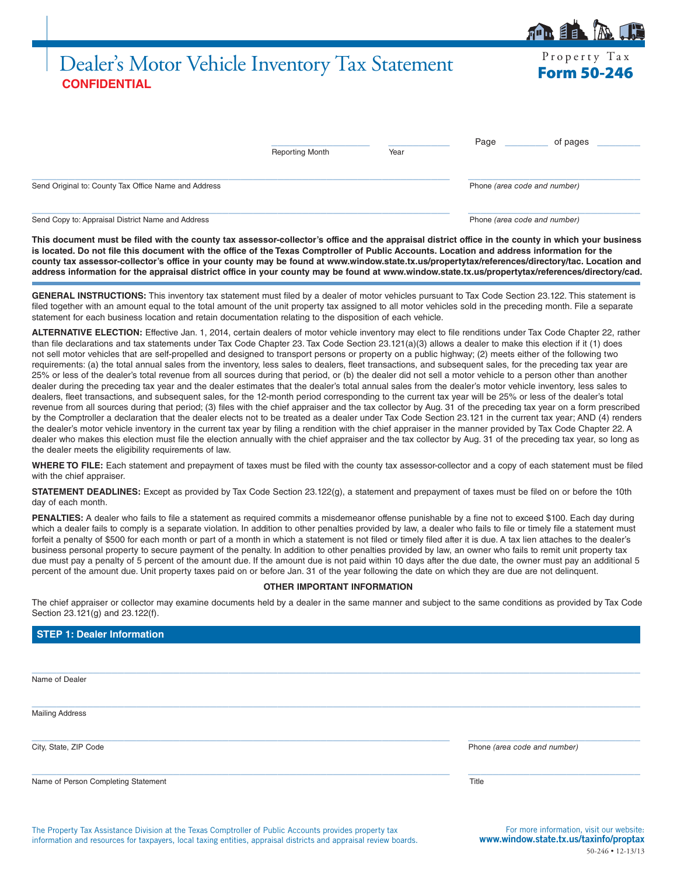# Dealer's Motor Vehicle Inventory Tax Statement Form 50-246 **CONFIDENTIAL**

|                                                      | <b>Reporting Month</b> | Year | Page<br>of pages             |
|------------------------------------------------------|------------------------|------|------------------------------|
| Send Original to: County Tax Office Name and Address |                        |      | Phone (area code and number) |

Send Copy to: Appraisal District Name and Address **Phone** *(area code and number)* Phone *(area code and number)* 

**This document must be filed with the county tax assessor-collector's office and the appraisal district office in the county in which your business**  is located. Do not file this document with the office of the Texas Comptroller of Public Accounts. Location and address information for the **county tax assessor-collector's office in your county may be found at www.window.state.tx.us/propertytax/references/directory/tac. Location and address information for the appraisal district office in your county may be found at www.window.state.tx.us/propertytax/references/directory/cad.**

**GENERAL INSTRUCTIONS:** This inventory tax statement must filed by a dealer of motor vehicles pursuant to Tax Code Section 23.122. This statement is filed together with an amount equal to the total amount of the unit property tax assigned to all motor vehicles sold in the preceding month. File a separate statement for each business location and retain documentation relating to the disposition of each vehicle.

**ALTERNATIVE ELECTION:** Effective Jan. 1, 2014, certain dealers of motor vehicle inventory may elect to file renditions under Tax Code Chapter 22, rather than file declarations and tax statements under Tax Code Chapter 23. Tax Code Section 23.121(a)(3) allows a dealer to make this election if it (1) does not sell motor vehicles that are self-propelled and designed to transport persons or property on a public highway; (2) meets either of the following two requirements: (a) the total annual sales from the inventory, less sales to dealers, fleet transactions, and subsequent sales, for the preceding tax year are 25% or less of the dealer's total revenue from all sources during that period, or (b) the dealer did not sell a motor vehicle to a person other than another dealer during the preceding tax year and the dealer estimates that the dealer's total annual sales from the dealer's motor vehicle inventory, less sales to dealers, fleet transactions, and subsequent sales, for the 12-month period corresponding to the current tax year will be 25% or less of the dealer's total revenue from all sources during that period; (3) files with the chief appraiser and the tax collector by Aug. 31 of the preceding tax year on a form prescribed by the Comptroller a declaration that the dealer elects not to be treated as a dealer under Tax Code Section 23.121 in the current tax year; AND (4) renders the dealer's motor vehicle inventory in the current tax year by filing a rendition with the chief appraiser in the manner provided by Tax Code Chapter 22. A dealer who makes this election must file the election annually with the chief appraiser and the tax collector by Aug. 31 of the preceding tax year, so long as the dealer meets the eligibility requirements of law.

**WHERE TO FILE:** Each statement and prepayment of taxes must be filed with the county tax assessor-collector and a copy of each statement must be filed with the chief appraiser.

**STATEMENT DEADLINES:** Except as provided by Tax Code Section 23.122(g), a statement and prepayment of taxes must be filed on or before the 10th day of each month.

PENALTIES: A dealer who fails to file a statement as required commits a misdemeanor offense punishable by a fine not to exceed \$100. Each day during which a dealer fails to comply is a separate violation. In addition to other penalties provided by law, a dealer who fails to file or timely file a statement must forfeit a penalty of \$500 for each month or part of a month in which a statement is not filed or timely filed after it is due. A tax lien attaches to the dealer's business personal property to secure payment of the penalty. In addition to other penalties provided by law, an owner who fails to remit unit property tax due must pay a penalty of 5 percent of the amount due. If the amount due is not paid within 10 days after the due date, the owner must pay an additional 5 percent of the amount due. Unit property taxes paid on or before Jan. 31 of the year following the date on which they are due are not delinquent.

### **OTHER IMPORTANT INFORMATION**

The chief appraiser or collector may examine documents held by a dealer in the same manner and subject to the same conditions as provided by Tax Code Section 23.121(g) and 23.122(f).

| <b>STEP 1: Dealer Information</b> |  |  |
|-----------------------------------|--|--|
|                                   |  |  |

 $\_$  ,  $\_$  ,  $\_$  ,  $\_$  ,  $\_$  ,  $\_$  ,  $\_$  ,  $\_$  ,  $\_$  ,  $\_$  ,  $\_$  ,  $\_$  ,  $\_$  ,  $\_$  ,  $\_$  ,  $\_$  ,  $\_$  ,  $\_$  ,  $\_$  ,  $\_$  ,  $\_$  ,  $\_$  ,  $\_$  ,  $\_$  ,  $\_$  ,  $\_$  ,  $\_$  ,  $\_$  ,  $\_$  ,  $\_$  ,  $\_$  ,  $\_$  ,  $\_$  ,  $\_$  ,  $\_$  ,  $\_$  ,  $\_$  , Name of Dealer  $\_$  , and the set of the set of the set of the set of the set of the set of the set of the set of the set of the set of the set of the set of the set of the set of the set of the set of the set of the set of the set of th Mailing Address  $\_$  ,  $\_$  ,  $\_$  ,  $\_$  ,  $\_$  ,  $\_$  ,  $\_$  ,  $\_$  ,  $\_$  ,  $\_$  ,  $\_$  ,  $\_$  ,  $\_$  ,  $\_$  ,  $\_$  ,  $\_$  ,  $\_$  ,  $\_$  ,  $\_$  ,  $\_$  ,  $\_$  ,  $\_$  ,  $\_$  ,  $\_$  ,  $\_$  ,  $\_$  ,  $\_$  ,  $\_$  ,  $\_$  ,  $\_$  ,  $\_$  ,  $\_$  ,  $\_$  ,  $\_$  ,  $\_$  ,  $\_$  ,  $\_$  , City, State, ZIP Code Phone *(area code and number)*  $\_$  ,  $\_$  ,  $\_$  ,  $\_$  ,  $\_$  ,  $\_$  ,  $\_$  ,  $\_$  ,  $\_$  ,  $\_$  ,  $\_$  ,  $\_$  ,  $\_$  ,  $\_$  ,  $\_$  ,  $\_$  ,  $\_$  ,  $\_$  ,  $\_$  ,  $\_$  ,  $\_$  ,  $\_$  ,  $\_$  ,  $\_$  ,  $\_$  ,  $\_$  ,  $\_$  ,  $\_$  ,  $\_$  ,  $\_$  ,  $\_$  ,  $\_$  ,  $\_$  ,  $\_$  ,  $\_$  ,  $\_$  ,  $\_$  , Name of Person Completing Statement Title

The Property Tax Assistance Division at the Texas Comptroller of Public Accounts provides property tax information and resources for taxpayers, local taxing entities, appraisal districts and appraisal review boards.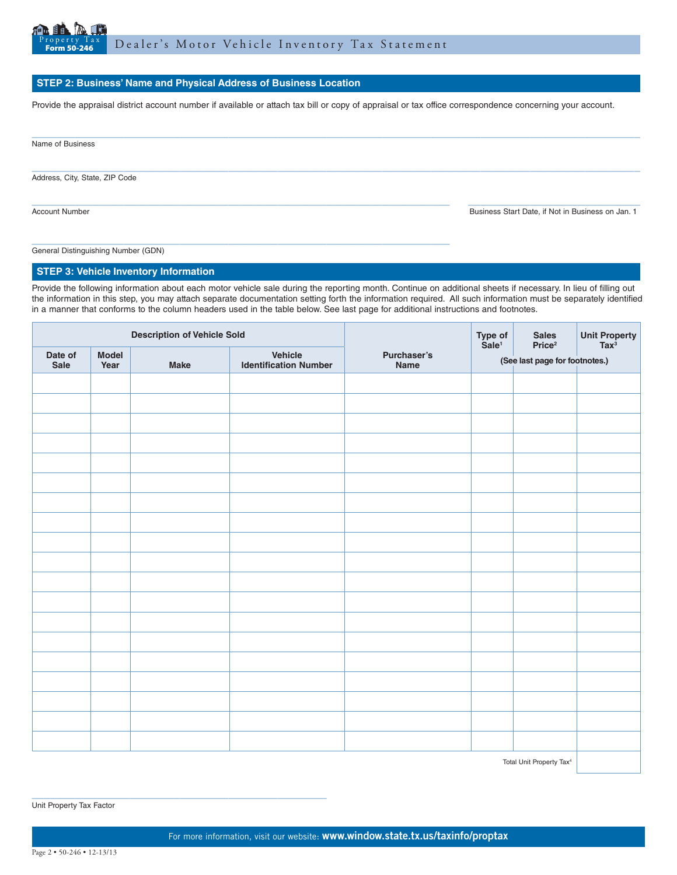

## **STEP 2: Business' Name and Physical Address of Business Location**

Provide the appraisal district account number if available or attach tax bill or copy of appraisal or tax office correspondence concerning your account.

Address, City, State, ZIP Code

 $\_$  ,  $\_$  ,  $\_$  ,  $\_$  ,  $\_$  ,  $\_$  ,  $\_$  ,  $\_$  ,  $\_$  ,  $\_$  ,  $\_$  ,  $\_$  ,  $\_$  ,  $\_$  ,  $\_$  ,  $\_$  ,  $\_$  ,  $\_$  ,  $\_$  ,  $\_$  ,  $\_$  ,  $\_$  ,  $\_$  ,  $\_$  ,  $\_$  ,  $\_$  ,  $\_$  ,  $\_$  ,  $\_$  ,  $\_$  ,  $\_$  ,  $\_$  ,  $\_$  ,  $\_$  ,  $\_$  ,  $\_$  ,  $\_$  , Account Number **Business Start Date, if Not in Business on Jan. 1** Business Start Date, if Not in Business on Jan. 1

 $\_$  , and the set of the set of the set of the set of the set of the set of the set of the set of the set of the set of the set of the set of the set of the set of the set of the set of the set of the set of the set of th General Distinguishing Number (GDN)

### **STEP 3: Vehicle Inventory Information**

Provide the following information about each motor vehicle sale during the reporting month. Continue on additional sheets if necessary. In lieu of filling out the information in this step, you may attach separate documentation setting forth the information required. All such information must be separately identified in a manner that conforms to the column headers used in the table below. See last page for additional instructions and footnotes.

| <b>Description of Vehicle Sold</b> |                      |             | Type of<br>Sale <sup>1</sup>            | Sales<br>Price <sup>2</sup> | Unit Property<br>Tax <sup>3</sup> |  |  |
|------------------------------------|----------------------|-------------|-----------------------------------------|-----------------------------|-----------------------------------|--|--|
| Date of<br>Sale                    | <b>Model</b><br>Year | <b>Make</b> | Vehicle<br><b>Identification Number</b> | Purchaser's<br>Name         | (See last page for footnotes.)    |  |  |
|                                    |                      |             |                                         |                             |                                   |  |  |
|                                    |                      |             |                                         |                             |                                   |  |  |
|                                    |                      |             |                                         |                             |                                   |  |  |
|                                    |                      |             |                                         |                             |                                   |  |  |
|                                    |                      |             |                                         |                             |                                   |  |  |
|                                    |                      |             |                                         |                             |                                   |  |  |
|                                    |                      |             |                                         |                             |                                   |  |  |
|                                    |                      |             |                                         |                             |                                   |  |  |
|                                    |                      |             |                                         |                             |                                   |  |  |
|                                    |                      |             |                                         |                             |                                   |  |  |
|                                    |                      |             |                                         |                             |                                   |  |  |
|                                    |                      |             |                                         |                             |                                   |  |  |
|                                    |                      |             |                                         |                             |                                   |  |  |
|                                    |                      |             |                                         |                             |                                   |  |  |
|                                    |                      |             |                                         |                             |                                   |  |  |
|                                    |                      |             |                                         |                             |                                   |  |  |
|                                    |                      |             |                                         |                             |                                   |  |  |
|                                    |                      |             |                                         |                             |                                   |  |  |
|                                    |                      |             |                                         |                             |                                   |  |  |
|                                    |                      |             |                                         |                             |                                   |  |  |

Total Unit Property Tax4

Unit Property Tax Factor

\_\_\_\_\_\_\_\_\_\_\_\_\_\_\_\_\_\_\_\_\_\_\_\_\_\_\_\_\_\_\_\_\_\_\_\_\_\_\_\_\_\_\_\_\_\_\_\_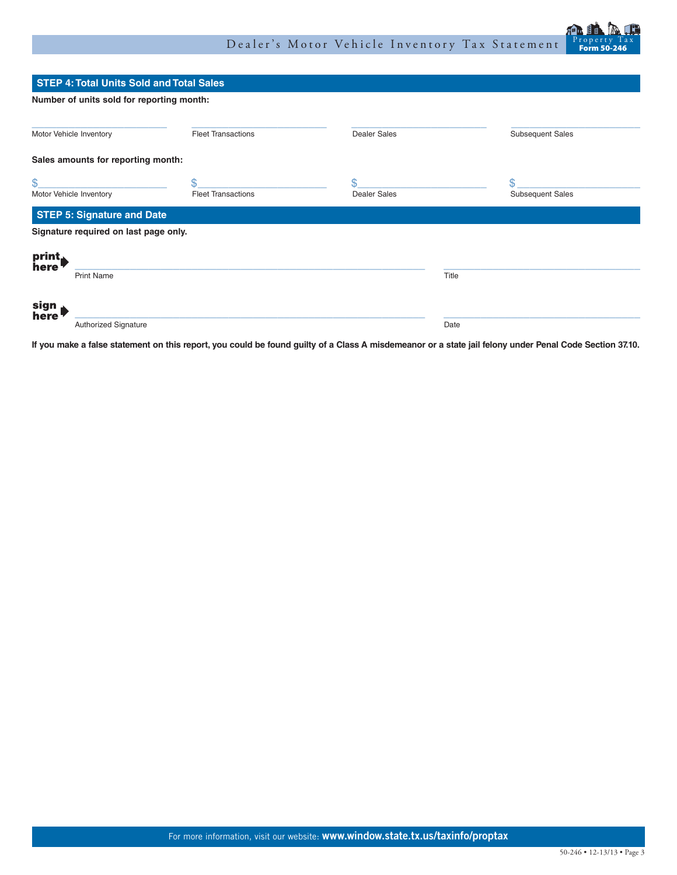

|                         | <b>STEP 4: Total Units Sold and Total Sales</b>                             |                           |                     |                         |
|-------------------------|-----------------------------------------------------------------------------|---------------------------|---------------------|-------------------------|
|                         | Number of units sold for reporting month:                                   |                           |                     |                         |
| Motor Vehicle Inventory |                                                                             | <b>Fleet Transactions</b> | <b>Dealer Sales</b> | <b>Subsequent Sales</b> |
|                         | Sales amounts for reporting month:                                          |                           |                     |                         |
| \$                      |                                                                             | \$.                       | \$                  | \$                      |
|                         | <b>Fleet Transactions</b><br><b>Dealer Sales</b><br>Motor Vehicle Inventory |                           |                     | <b>Subsequent Sales</b> |
|                         | <b>STEP 5: Signature and Date</b>                                           |                           |                     |                         |
|                         | Signature required on last page only.                                       |                           |                     |                         |
| print,                  |                                                                             |                           |                     |                         |
| here                    | <b>Print Name</b>                                                           |                           | Title               |                         |
| sign                    |                                                                             |                           |                     |                         |
| here                    | Authorized Signature                                                        |                           | Date                |                         |

**If you make a false statement on this report, you could be found guilty of a Class A misdemeanor or a state jail felony under Penal Code Section 37.10.**